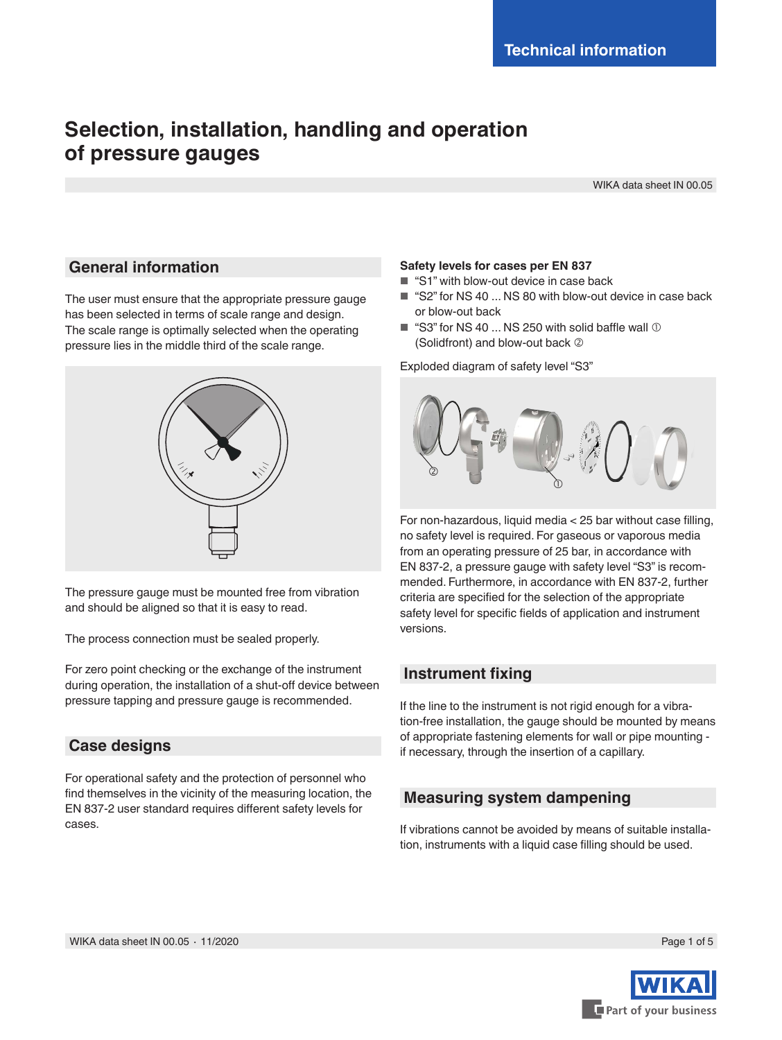# **Selection, installation, handling and operation of pressure gauges**

WIKA data sheet IN 00.05

### **General information**

The user must ensure that the appropriate pressure gauge has been selected in terms of scale range and design. The scale range is optimally selected when the operating pressure lies in the middle third of the scale range.



The pressure gauge must be mounted free from vibration and should be aligned so that it is easy to read.

The process connection must be sealed properly.

For zero point checking or the exchange of the instrument during operation, the installation of a shut-off device between pressure tapping and pressure gauge is recommended.

# **Case designs**

For operational safety and the protection of personnel who find themselves in the vicinity of the measuring location, the EN 837-2 user standard requires different safety levels for cases.

### **Safety levels for cases per EN 837**

- "S1" with blow-out device in case back
- "S2" for NS 40 ... NS 80 with blow-out device in case back or blow-out back
- $\blacksquare$  "S3" for NS 40 ... NS 250 with solid baffle wall  $\heartsuit$ (Solidfront) and blow-out back

Exploded diagram of safety level "S3"



For non-hazardous, liquid media < 25 bar without case filling, no safety level is required. For gaseous or vaporous media from an operating pressure of 25 bar, in accordance with EN 837-2, a pressure gauge with safety level "S3" is recommended. Furthermore, in accordance with EN 837-2, further criteria are specified for the selection of the appropriate safety level for specific fields of application and instrument versions.

# **Instrument fixing**

If the line to the instrument is not rigid enough for a vibration-free installation, the gauge should be mounted by means of appropriate fastening elements for wall or pipe mounting if necessary, through the insertion of a capillary.

# **Measuring system dampening**

If vibrations cannot be avoided by means of suitable installation, instruments with a liquid case filling should be used.

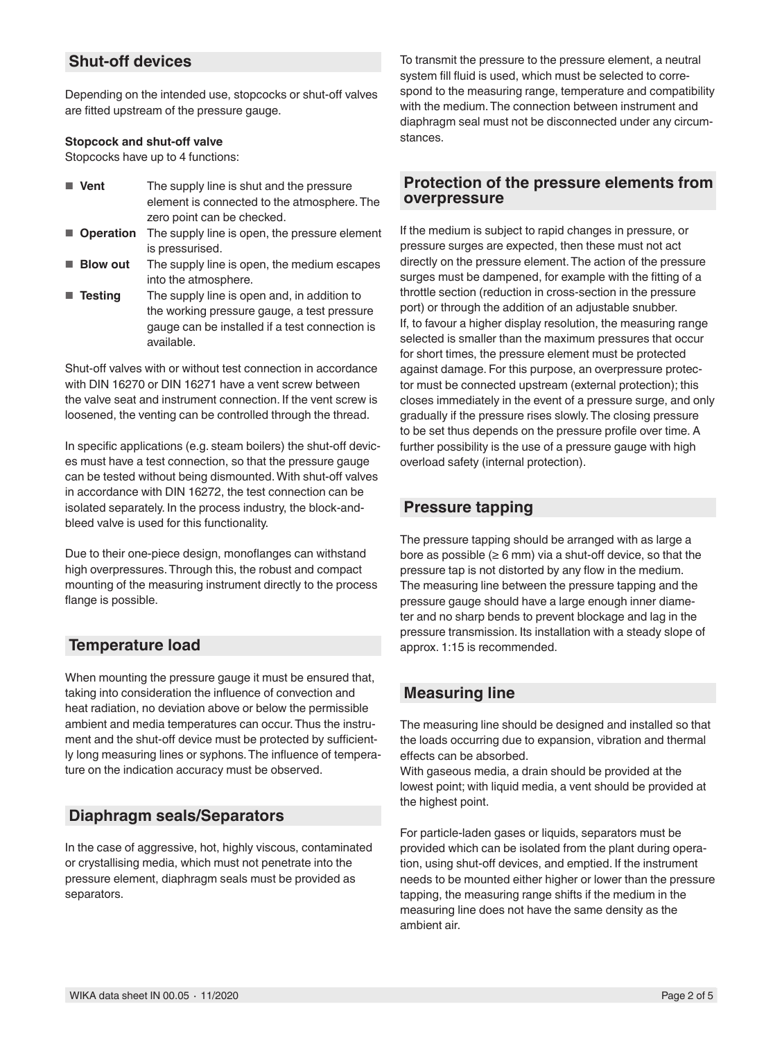# **Shut-off devices**

Depending on the intended use, stopcocks or shut-off valves are fitted upstream of the pressure gauge.

### **Stopcock and shut-off valve**

Stopcocks have up to 4 functions:

- **Vent** The supply line is shut and the pressure element is connected to the atmosphere. The zero point can be checked.
- **Operation** The supply line is open, the pressure element is pressurised.
- **Blow out** The supply line is open, the medium escapes into the atmosphere.
- **Testing** The supply line is open and, in addition to the working pressure gauge, a test pressure gauge can be installed if a test connection is available.

Shut-off valves with or without test connection in accordance with DIN 16270 or DIN 16271 have a vent screw between the valve seat and instrument connection. If the vent screw is loosened, the venting can be controlled through the thread.

In specific applications (e.g. steam boilers) the shut-off devices must have a test connection, so that the pressure gauge can be tested without being dismounted. With shut-off valves in accordance with DIN 16272, the test connection can be isolated separately. In the process industry, the block-andbleed valve is used for this functionality.

Due to their one-piece design, monoflanges can withstand high overpressures. Through this, the robust and compact mounting of the measuring instrument directly to the process flange is possible.

# **Temperature load**

When mounting the pressure gauge it must be ensured that, taking into consideration the influence of convection and heat radiation, no deviation above or below the permissible ambient and media temperatures can occur. Thus the instrument and the shut-off device must be protected by sufficiently long measuring lines or syphons. The influence of temperature on the indication accuracy must be observed.

# **Diaphragm seals/Separators**

In the case of aggressive, hot, highly viscous, contaminated or crystallising media, which must not penetrate into the pressure element, diaphragm seals must be provided as separators.

To transmit the pressure to the pressure element, a neutral system fill fluid is used, which must be selected to correspond to the measuring range, temperature and compatibility with the medium. The connection between instrument and diaphragm seal must not be disconnected under any circumstances.

### **Protection of the pressure elements from overpressure**

If the medium is subject to rapid changes in pressure, or pressure surges are expected, then these must not act directly on the pressure element. The action of the pressure surges must be dampened, for example with the fitting of a throttle section (reduction in cross-section in the pressure port) or through the addition of an adjustable snubber. If, to favour a higher display resolution, the measuring range selected is smaller than the maximum pressures that occur for short times, the pressure element must be protected against damage. For this purpose, an overpressure protector must be connected upstream (external protection); this closes immediately in the event of a pressure surge, and only gradually if the pressure rises slowly. The closing pressure to be set thus depends on the pressure profile over time. A further possibility is the use of a pressure gauge with high overload safety (internal protection).

# **Pressure tapping**

The pressure tapping should be arranged with as large a bore as possible ( $\geq 6$  mm) via a shut-off device, so that the pressure tap is not distorted by any flow in the medium. The measuring line between the pressure tapping and the pressure gauge should have a large enough inner diameter and no sharp bends to prevent blockage and lag in the pressure transmission. Its installation with a steady slope of approx. 1:15 is recommended.

# **Measuring line**

The measuring line should be designed and installed so that the loads occurring due to expansion, vibration and thermal effects can be absorbed.

With gaseous media, a drain should be provided at the lowest point; with liquid media, a vent should be provided at the highest point.

For particle-laden gases or liquids, separators must be provided which can be isolated from the plant during operation, using shut-off devices, and emptied. If the instrument needs to be mounted either higher or lower than the pressure tapping, the measuring range shifts if the medium in the measuring line does not have the same density as the ambient air.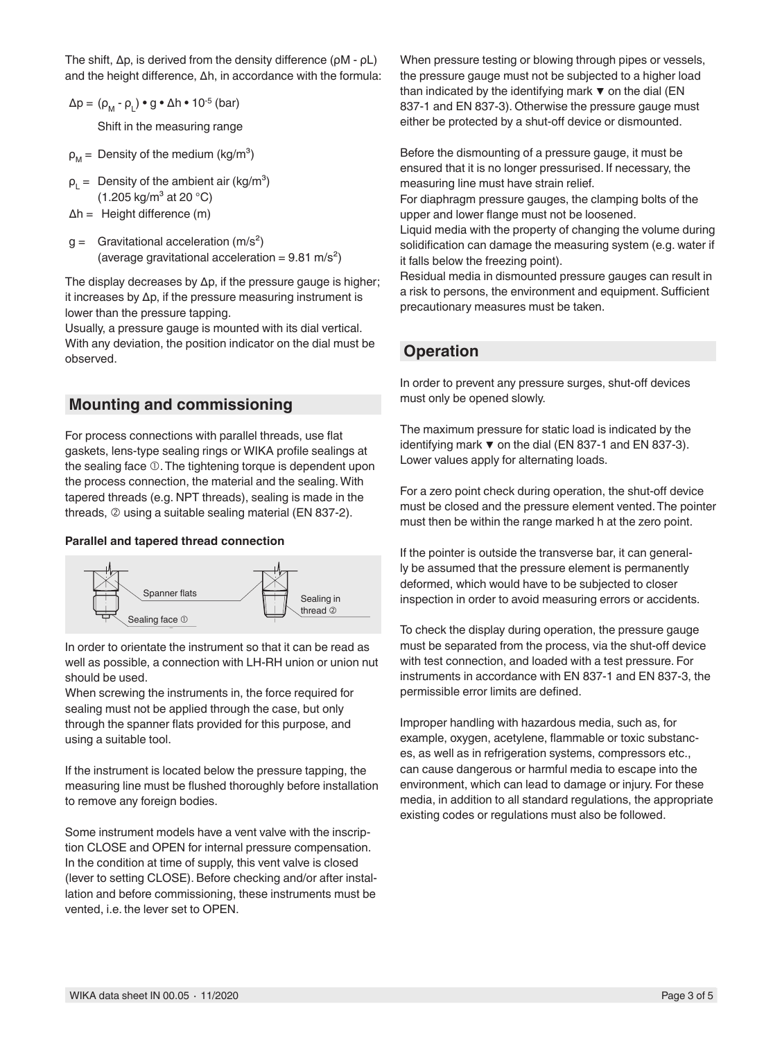The shift, ∆p, is derived from the density difference (ρM - ρL) and the height difference, ∆h, in accordance with the formula:

- $\Delta p = (\rho_M \rho_L) \bullet g \bullet \Delta h \bullet 10^{-5}$  (bar) Shift in the measuring range
- $\rho_M$  = Density of the medium (kg/m<sup>3</sup>)
- $\rho_{L}$  = Density of the ambient air (kg/m<sup>3</sup>)  $(1.205 \text{ kg/m}^3 \text{ at } 20 \text{ °C})$
- ∆h = Height difference (m)
- $g =$  Gravitational acceleration (m/s<sup>2</sup>) (average gravitational acceleration =  $9.81 \text{ m/s}^2$ )

The display decreases by ∆p, if the pressure gauge is higher; it increases by ∆p, if the pressure measuring instrument is lower than the pressure tapping.

Usually, a pressure gauge is mounted with its dial vertical. With any deviation, the position indicator on the dial must be observed.

# **Mounting and commissioning**

For process connections with parallel threads, use flat gaskets, lens-type sealing rings or WIKA profile sealings at the sealing face  $\mathbb O$ . The tightening torque is dependent upon the process connection, the material and the sealing. With tapered threads (e.g. NPT threads), sealing is made in the threads,  $\oslash$  using a suitable sealing material (EN 837-2).

### **Parallel and tapered thread connection**



In order to orientate the instrument so that it can be read as well as possible, a connection with LH-RH union or union nut should be used.

When screwing the instruments in, the force required for sealing must not be applied through the case, but only through the spanner flats provided for this purpose, and using a suitable tool.

If the instrument is located below the pressure tapping, the measuring line must be flushed thoroughly before installation to remove any foreign bodies.

Some instrument models have a vent valve with the inscription CLOSE and OPEN for internal pressure compensation. In the condition at time of supply, this vent valve is closed (lever to setting CLOSE). Before checking and/or after installation and before commissioning, these instruments must be vented, i.e. the lever set to OPEN.

When pressure testing or blowing through pipes or vessels, the pressure gauge must not be subjected to a higher load than indicated by the identifying mark  $\blacktriangledown$  on the dial (EN 837-1 and EN 837-3). Otherwise the pressure gauge must either be protected by a shut-off device or dismounted.

Before the dismounting of a pressure gauge, it must be ensured that it is no longer pressurised. If necessary, the measuring line must have strain relief.

For diaphragm pressure gauges, the clamping bolts of the upper and lower flange must not be loosened.

Liquid media with the property of changing the volume during solidification can damage the measuring system (e.g. water if it falls below the freezing point).

Residual media in dismounted pressure gauges can result in a risk to persons, the environment and equipment. Sufficient precautionary measures must be taken.

# **Operation**

In order to prevent any pressure surges, shut-off devices must only be opened slowly.

The maximum pressure for static load is indicated by the identifying mark ▼ on the dial (EN 837-1 and EN 837-3). Lower values apply for alternating loads.

For a zero point check during operation, the shut-off device must be closed and the pressure element vented. The pointer must then be within the range marked h at the zero point.

If the pointer is outside the transverse bar, it can generally be assumed that the pressure element is permanently deformed, which would have to be subjected to closer inspection in order to avoid measuring errors or accidents.

To check the display during operation, the pressure gauge must be separated from the process, via the shut-off device with test connection, and loaded with a test pressure. For instruments in accordance with EN 837-1 and EN 837-3, the permissible error limits are defined.

Improper handling with hazardous media, such as, for example, oxygen, acetylene, flammable or toxic substances, as well as in refrigeration systems, compressors etc., can cause dangerous or harmful media to escape into the environment, which can lead to damage or injury. For these media, in addition to all standard regulations, the appropriate existing codes or regulations must also be followed.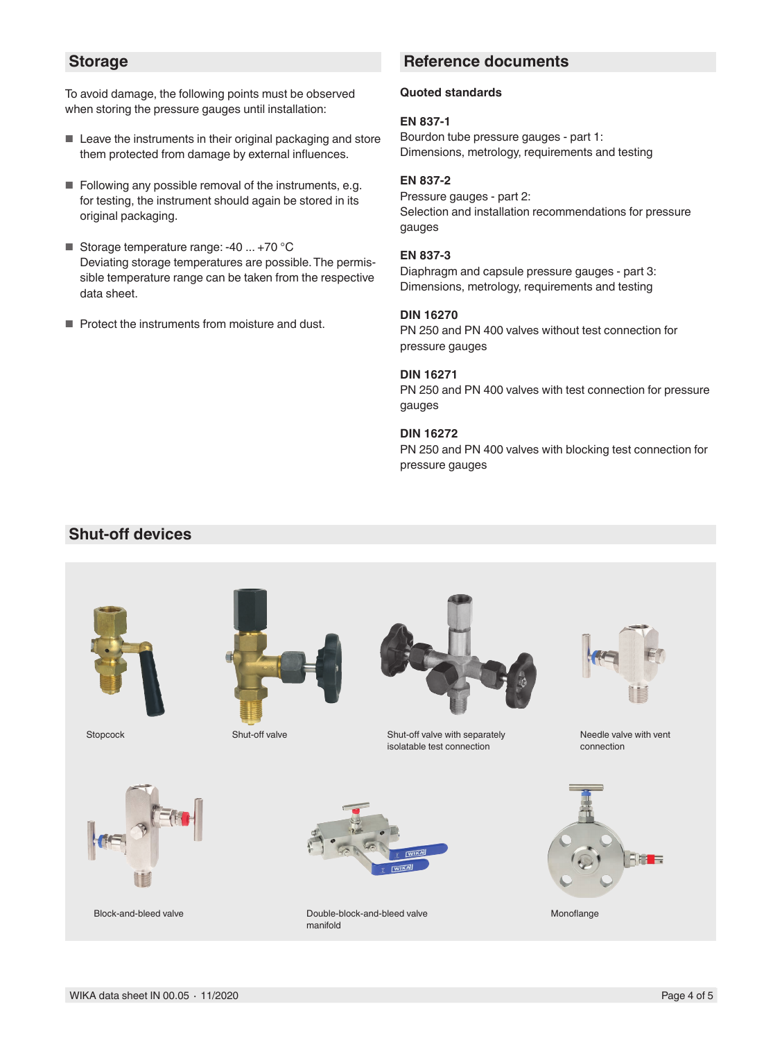### **Storage**

To avoid damage, the following points must be observed when storing the pressure gauges until installation:

- Leave the instruments in their original packaging and store them protected from damage by external influences.
- Following any possible removal of the instruments, e.g. for testing, the instrument should again be stored in its original packaging.
- Storage temperature range: -40 ... +70 °C Deviating storage temperatures are possible. The permissible temperature range can be taken from the respective data sheet.
- Protect the instruments from moisture and dust.

# **Reference documents**

#### **Quoted standards**

#### **EN 837-1**

Bourdon tube pressure gauges - part 1: Dimensions, metrology, requirements and testing

### **EN 837-2**

Pressure gauges - part 2: Selection and installation recommendations for pressure gauges

#### **EN 837-3**

Diaphragm and capsule pressure gauges - part 3: Dimensions, metrology, requirements and testing

#### **DIN 16270**

PN 250 and PN 400 valves without test connection for pressure gauges

#### **DIN 16271**

PN 250 and PN 400 valves with test connection for pressure gauges

### **DIN 16272**

PN 250 and PN 400 valves with blocking test connection for pressure gauges

# **Shut-off devices**







Stopcock Shut-off valve Shut-off valve Shut-off valve Shut-off valve with separately isolatable test connection



Block-and-bleed valve



Double-block-and-bleed valve Monoflange manifold